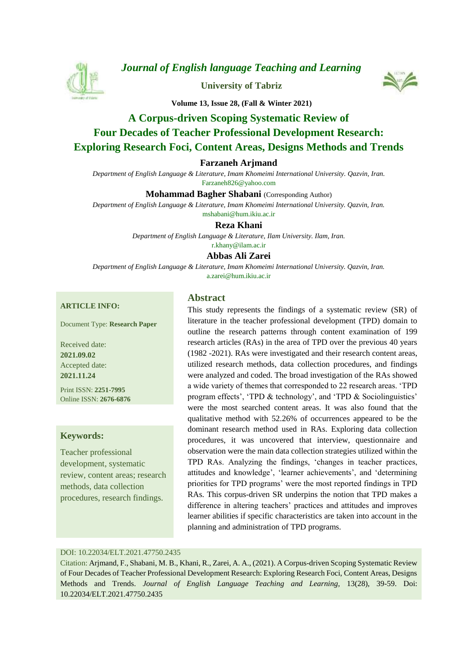

*[Journal of English language Teaching and Learning](https://elt.tabrizu.ac.ir/)*

**[University of Tabriz](https://tabrizu.ac.ir/)**



**Volume 13, Issue 28, (Fall & Winter 2021)**

# **A Corpus-driven Scoping Systematic Review of Four Decades of Teacher Professional Development Research: Exploring Research Foci, Content Areas, Designs Methods and Trends**

#### **Farzaneh Arjmand**

*Department of English Language & Literature, Imam Khomeimi International University. Qazvin, Iran.* Farzaneh826@yahoo.com

**Mohammad Bagher Shabani** (Corresponding Author)

*Department of English Language & Literature, Imam Khomeimi International University. Qazvin, Iran.* mshabani@hum.ikiu.ac.ir

**Reza Khani**

*Department of English Language & Literature, Ilam University. Ilam, Iran.* r.khany@ilam.ac.ir

#### **Abbas Ali Zarei**

*Department of English Language & Literature, Imam Khomeimi International University. Qazvin, Iran.* a.zarei@hum.ikiu.ac.ir

#### **ARTICLE INFO:**

Document Type: **Research Paper**

Received date: **2021.09.02** Accepted date: **2021.11.24**

Print ISSN: **2251-7995** Online ISSN: **2676-6876**

#### **Keywords:**

Teacher professional development, systematic review, content areas; research methods, data collection procedures, research findings.

### **Abstract**

This study represents the findings of a systematic review (SR) of literature in the teacher professional development (TPD) domain to outline the research patterns through content examination of 199 research articles (RAs) in the area of TPD over the previous 40 years (1982 -2021). RAs were investigated and their research content areas, utilized research methods, data collection procedures, and findings were analyzed and coded. The broad investigation of the RAs showed a wide variety of themes that corresponded to 22 research areas. 'TPD program effects', 'TPD & technology', and 'TPD & Sociolinguistics' were the most searched content areas. It was also found that the qualitative method with 52.26% of occurrences appeared to be the dominant research method used in RAs. Exploring data collection procedures, it was uncovered that interview, questionnaire and observation were the main data collection strategies utilized within the TPD RAs. Analyzing the findings, 'changes in teacher practices, attitudes and knowledge', 'learner achievements', and 'determining priorities for TPD programs' were the most reported findings in TPD RAs. This corpus-driven SR underpins the notion that TPD makes a difference in altering teachers' practices and attitudes and improves learner abilities if specific characteristics are taken into account in the planning and administration of TPD programs.

#### DOI: 10.22034/ELT.2021.47750.2435

Citation: Arjmand, F., Shabani, M. B., Khani, R., Zarei, A. A., (2021). A Corpus-driven Scoping Systematic Review of Four Decades of Teacher Professional Development Research: Exploring Research Foci, Content Areas, Designs Methods and Trends. *Journal of English Language Teaching and Learning,* 13(28), 39-59. Doi: 10.22034/ELT.2021.47750.2435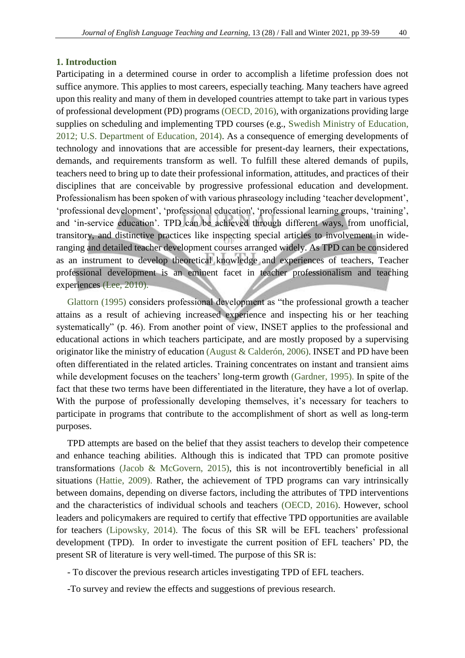### **1. Introduction**

Participating in a determined course in order to accomplish a lifetime profession does not suffice anymore. This applies to most careers, especially teaching. Many teachers have agreed upon this reality and many of them in developed countries attempt to take part in various types of professional development (PD) program[s \(OECD, 2016\),](#page-20-0) with organizations providing large supplies on scheduling and implementing TPD courses (e.g., [Swedish Ministry of Education,](#page-20-1)  [2012;](#page-20-1) [U.S. Department of Education, 2014\).](#page-20-2) As a consequence of emerging developments of technology and innovations that are accessible for present-day learners, their expectations, demands, and requirements transform as well. To fulfill these altered demands of pupils, teachers need to bring up to date their professional information, attitudes, and practices of their disciplines that are conceivable by progressive professional education and development. Professionalism has been spoken of with various phraseology including 'teacher development', 'professional development', 'professional education', 'professional learning groups, 'training', and 'in-service education'. TPD can be achieved through different ways, from unofficial, transitory, and distinctive practices like inspecting special articles to involvement in wideranging and detailed teacher development courses arranged widely. As TPD can be considered as an instrument to develop theoretical knowledge and experiences of teachers, Teacher professional development is an eminent facet in teacher professionalism and teaching experiences [\(Lee, 2010\).](#page-19-0)

[Glattorn \(1995\)](#page-18-0) considers professional development as "the professional growth a teacher attains as a result of achieving increased experience and inspecting his or her teaching systematically" (p. 46). From another point of view, INSET applies to the professional and educational actions in which teachers participate, and are mostly proposed by a supervising originator like the ministry of education [\(August & Calderón, 2006\).](#page-18-1) INSET and PD have been often differentiated in the related articles. Training concentrates on instant and transient aims while development focuses on the teachers' long-term growth [\(Gardner, 1995\).](#page-18-2) In spite of the fact that these two terms have been differentiated in the literature, they have a lot of overlap. With the purpose of professionally developing themselves, it's necessary for teachers to participate in programs that contribute to the accomplishment of short as well as long-term purposes.

TPD attempts are based on the belief that they assist teachers to develop their competence and enhance teaching abilities. Although this is indicated that TPD can promote positive transformations [\(Jacob & McGovern, 2015\),](#page-19-1) this is not incontrovertibly beneficial in all situations [\(Hattie,](#page-19-2) 2009). Rather, the achievement of TPD programs can vary intrinsically between domains, depending on diverse factors, including the attributes of TPD interventions and the characteristics of individual schools and teachers [\(OECD, 2016\).](#page-20-0) However, school leaders and policymakers are required to certify that effective TPD opportunities are available for teachers [\(Lipowsky, 2014\).](#page-19-3) The focus of this SR will be EFL teachers' professional development (TPD). In order to investigate the current position of EFL teachers' PD, the present SR of literature is very well-timed. The purpose of this SR is:

- To discover the previous research articles investigating TPD of EFL teachers.
- -To survey and review the effects and suggestions of previous research.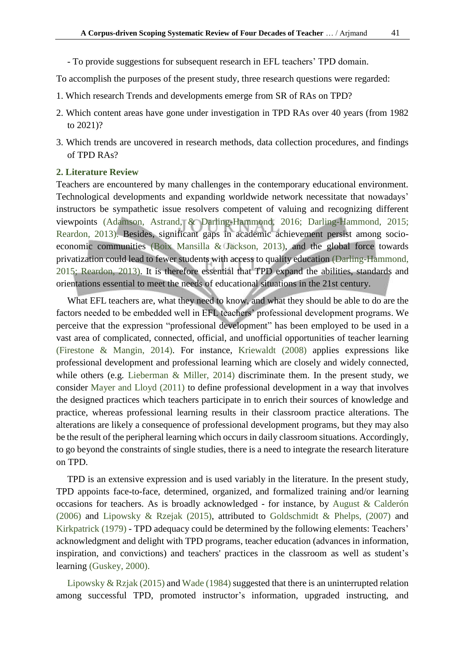- To provide suggestions for subsequent research in EFL teachers' TPD domain.

To accomplish the purposes of the present study, three research questions were regarded:

- 1. Which research Trends and developments emerge from SR of RAs on TPD?
- 2. Which content areas have gone under investigation in TPD RAs over 40 years (from 1982 to 2021)?
- 3. Which trends are uncovered in research methods, data collection procedures, and findings of TPD RAs?

#### **2. Literature Review**

Teachers are encountered by many challenges in the contemporary educational environment. Technological developments and expanding worldwide network necessitate that nowadays' instructors be sympathetic issue resolvers competent of valuing and recognizing different viewpoints [\(Adamson, Astrand, & Darling-Hammond, 2016;](#page-18-3) [Darling-Hammond, 2015;](#page-18-4) [Reardon, 2013\).](#page-20-3) Besides, significant gaps in academic achievement persist among socioeconomic communities [\(Boix Mansilla & Jackson, 2013\),](#page-18-5) and the global force towards privatization could lead to fewer students with access to quality education [\(Darling-Hammond,](#page-18-4)  [2015;](#page-18-4) [Reardon, 2013\).](#page-20-3) It is therefore essential that TPD expand the abilities, standards and orientations essential to meet the needs of educational situations in the 21st century.

What EFL teachers are, what they need to know, and what they should be able to do are the factors needed to be embedded well in EFL teachers' professional development programs. We perceive that the expression "professional development" has been employed to be used in a vast area of complicated, connected, official, and unofficial opportunities of teacher learning [\(Firestone & Mangin, 2014\).](#page-18-6) For instance, [Kriewaldt \(2008\)](#page-19-4) applies expressions like professional development and professional learning which are closely and widely connected, while others (e.g. [Lieberman & Miller, 2014\)](#page-19-5) discriminate them. In the present study, we consider [Mayer and Lloyd \(2011\)](#page-20-4) to define professional development in a way that involves the designed practices which teachers participate in to enrich their sources of knowledge and practice, whereas professional learning results in their classroom practice alterations. The alterations are likely a consequence of professional development programs, but they may also be the result of the peripheral learning which occurs in daily classroom situations. Accordingly, to go beyond the constraints of single studies, there is a need to integrate the research literature on TPD.

TPD is an extensive expression and is used variably in the literature. In the present study, TPD appoints face-to-face, determined, organized, and formalized training and/or learning occasions for teachers. As is broadly acknowledged - for instance, by [August & Calderón](#page-18-1)  [\(2006\)](#page-18-1) and Lipowsky & [Rzejak \(2015\),](#page-20-5) attributed to [Goldschmidt & Phelps, \(2007\)](#page-19-6) and [Kirkpatrick \(1979\)](#page-19-7) - TPD adequacy could be determined by the following elements: Teachers' acknowledgment and delight with TPD programs, teacher education (advances in information, inspiration, and convictions) and teachers' practices in the classroom as well as student's learning [\(Guskey, 2000\).](#page-19-8)

[Lipowsky & Rzjak \(2015\)](#page-20-5) and [Wade \(1984\)](#page-20-6) suggested that there is an uninterrupted relation among successful TPD, promoted instructor's information, upgraded instructing, and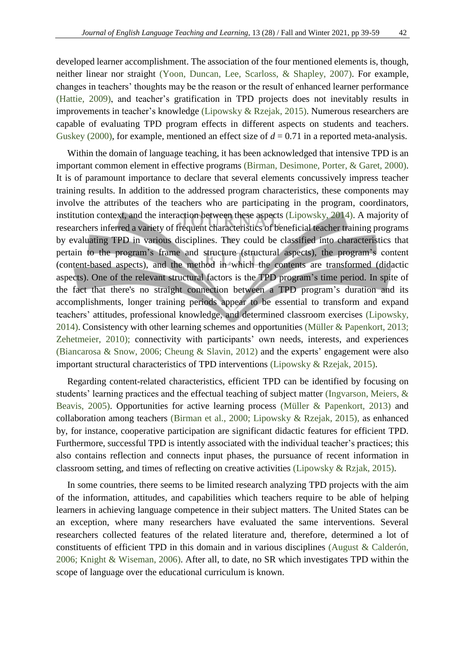developed learner accomplishment. The association of the four mentioned elements is, though, neither linear nor straight [\(Yoon, Duncan, Lee, Scarloss, & Shapley, 2007\).](#page-20-7) For example, changes in teachers' thoughts may be the reason or the result of enhanced learner performance [\(Hattie, 2009\),](#page-19-2) and teacher's gratification in TPD projects does not inevitably results in improvements in teacher's knowledge [\(Lipowsky & Rzejak, 2015\).](#page-20-5) Numerous researchers are capable of evaluating TPD program effects in different aspects on students and teachers. [Guskey](#page-19-8) (2000), for example, mentioned an effect size of  $d = 0.71$  in a reported meta-analysis.

Within the domain of language teaching, it has been acknowledged that intensive TPD is an important common element in effective programs [\(Birman, Desimone, Porter, & Garet,](#page-18-7) 2000). It is of paramount importance to declare that several elements concussively impress teacher training results. In addition to the addressed program characteristics, these components may involve the attributes of the teachers who are participating in the program, coordinators, institution context, and the interaction between these aspects [\(Lipowsky, 2014\).](#page-19-3) A majority of researchers inferred a variety of frequent characteristics of beneficial teacher training programs by evaluating TPD in various disciplines. They could be classified into characteristics that pertain to the program's frame and structure (structural aspects), the program's content (content-based aspects), and the method in which the contents are transformed (didactic aspects). One of the relevant structural factors is the TPD program's time period. In spite of the fact that there's no straight connection between a TPD program's duration and its accomplishments, longer training periods appear to be essential to transform and expand teachers' attitudes, professional knowledge, and determined classroom exercises [\(Lipowsky,](#page-19-3)  [2014\).](#page-19-3) Consistency with other learning schemes and opportunities [\(Müller & Papenkort, 2013;](#page-20-8) [Zehetmeier, 2010\);](#page-20-9) connectivity with participants' own needs, interests, and experiences [\(Biancarosa & Snow, 2006;](#page-18-8) [Cheung & Slavin, 2012\)](#page-18-9) and the experts' engagement were also important structural characteristics of TPD interventions [\(Lipowsky & Rzejak, 2015\).](#page-20-5)

Regarding content-related characteristics, efficient TPD can be identified by focusing on students' learning practices and the effectual teaching of subject matter [\(Ingvarson, Meiers, &](#page-19-9)  [Beavis, 2005\).](#page-19-9) Opportunities for active learning process [\(Müller & Papenkort, 2013\)](#page-20-8) and collaboration among teachers [\(Birman et al., 2000;](#page-18-7) [Lipowsky & Rzejak, 2015\),](#page-20-5) as enhanced by, for instance, cooperative participation are significant didactic features for efficient TPD. Furthermore, successful TPD is intently associated with the individual teacher's practices; this also contains reflection and connects input phases, the pursuance of recent information in classroom setting, and times of reflecting on creative activities [\(Lipowsky & Rzjak, 2015\).](#page-20-5)

In some countries, there seems to be limited research analyzing TPD projects with the aim of the information, attitudes, and capabilities which teachers require to be able of helping learners in achieving language competence in their subject matters. The United States can be an exception, where many researchers have evaluated the same interventions. Several researchers collected features of the related literature and, therefore, determined a lot of constituents of efficient TPD in this domain and in various disciplines [\(August & Calderón,](#page-18-1)  [2006;](#page-18-1) Knight & [Wiseman, 2006\).](#page-19-10) After all, to date, no SR which investigates TPD within the scope of language over the educational curriculum is known.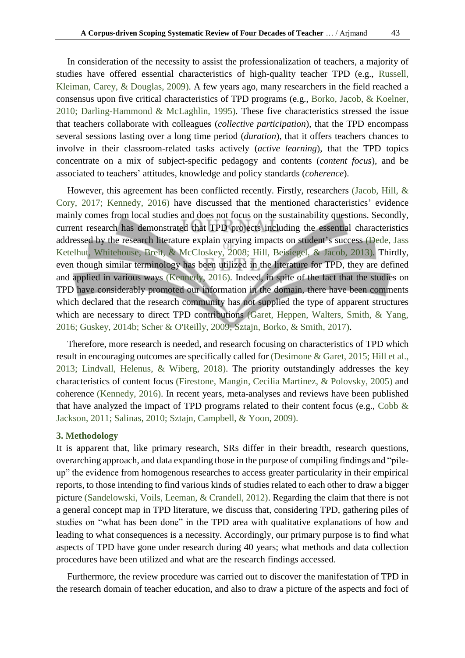In consideration of the necessity to assist the professionalization of teachers, a majority of studies have offered essential characteristics of high-quality teacher TPD (e.g., [Russell,](#page-20-10)  [Kleiman, Carey, & Douglas, 2009\).](#page-20-10) A few years ago, many researchers in the field reached a consensus upon five critical characteristics of TPD programs (e.g., [Borko, Jacob, & Koelner,](#page-18-10)  [2010;](#page-18-10) [Darling-Hammond & McLaghlin, 1995\).](#page-18-11) These five characteristics stressed the issue that teachers collaborate with colleagues (*collective participation*), that the TPD encompass several sessions lasting over a long time period (*duration*), that it offers teachers chances to involve in their classroom-related tasks actively (*active learning*), that the TPD topics concentrate on a mix of subject-specific pedagogy and contents (*content focus*), and be associated to teachers' attitudes, knowledge and policy standards (*coherence*).

However, this agreement has been conflicted recently. Firstly, researchers [\(Jacob, Hill, &](#page-19-11)  [Cory, 2017;](#page-19-11) [Kennedy, 2016\)](#page-19-12) have discussed that the mentioned characteristics' evidence mainly comes from local studies and does not focus on the sustainability questions. Secondly, current research has demonstrated that TPD projects including the essential characteristics addressed by the research literature explain varying impacts on student's success [\(Dede, Jass](#page-18-12)  [Ketelhut, Whitehouse, Breit, & McCloskey, 2008;](#page-18-12) [Hill, Beisiegel, & Jacob, 2013\).](#page-19-13) Thirdly, even though similar terminology has been utilized in the literature for TPD, they are defined and applied in various ways [\(Kennedy, 2016\).](#page-19-12) Indeed, in spite of the fact that the studies on TPD have considerably promoted our information in the domain, there have been comments which declared that the research community has not supplied the type of apparent structures which are necessary to direct TPD contributions (Garet, Heppen, Walters, Smith, & Yang, [2016;](#page-18-13) [Guskey, 2014b;](#page-19-14) Scher & [O'Reilly, 2009;](#page-20-11) [Sztajn, Borko, & Smith, 2017\).](#page-20-12)

Therefore, more research is needed, and research focusing on characteristics of TPD which result in encouraging outcomes are specifically called fo[r \(Desimone & Garet, 2015;](#page-18-14) [Hill et al.,](#page-19-13)  [2013;](#page-19-13) [Lindvall, Helenus, & Wiberg, 2018\).](#page-19-15) The priority outstandingly addresses the key characteristics of content focus [\(Firestone, Mangin, Cecilia Martinez, & Polovsky, 2005\)](#page-18-15) and coherence [\(Kennedy, 2016\).](#page-19-12) In recent years, meta-analyses and reviews have been published that have analyzed the impact of TPD programs related to their content focus (e.g., Cobb  $\&$ [Jackson, 2011;](#page-18-16) [Salinas, 2010;](#page-20-13) [Sztajn, Campbell, & Yoon, 2009\).](#page-20-14)

#### **3. Methodology**

It is apparent that, like primary research, SRs differ in their breadth, research questions, overarching approach, and data expanding those in the purpose of compiling findings and "pileup" the evidence from homogenous researches to access greater particularity in their empirical reports, to those intending to find various kinds of studies related to each other to draw a bigger picture [\(Sandelowski, Voils, Leeman, & Crandell, 2012\).](#page-20-15) Regarding the claim that there is not a general concept map in TPD literature, we discuss that, considering TPD, gathering piles of studies on "what has been done" in the TPD area with qualitative explanations of how and leading to what consequences is a necessity. Accordingly, our primary purpose is to find what aspects of TPD have gone under research during 40 years; what methods and data collection procedures have been utilized and what are the research findings accessed.

Furthermore, the review procedure was carried out to discover the manifestation of TPD in the research domain of teacher education, and also to draw a picture of the aspects and foci of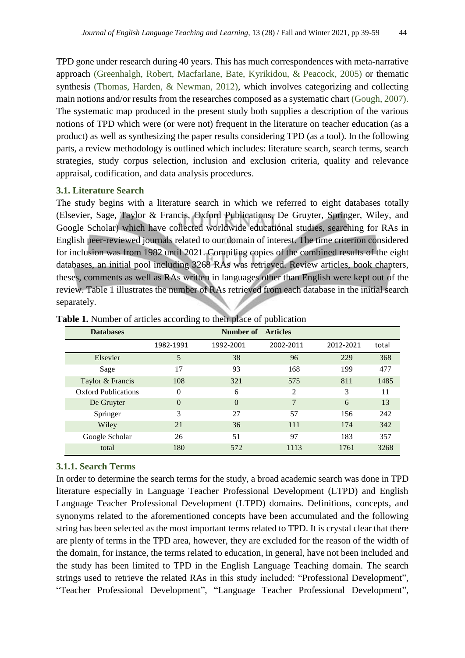TPD gone under research during 40 years. This has much correspondences with meta-narrative approach [\(Greenhalgh, Robert, Macfarlane,](#page-19-16) Bate, Kyrikidou, & Peacock, 2005) or thematic synthesis [\(Thomas, Harden, & Newman, 2012\),](#page-20-16) which involves categorizing and collecting main notions and/or results from the researches composed as a systematic chart [\(Gough,](#page-19-17) 2007). The systematic map produced in the present study both supplies a description of the various notions of TPD which were (or were not) frequent in the literature on teacher education (as a product) as well as synthesizing the paper results considering TPD (as a tool). In the following parts, a review methodology is outlined which includes: literature search, search terms, search strategies, study corpus selection, inclusion and exclusion criteria, quality and relevance appraisal, codification, and data analysis procedures.

### **3.1. Literature Search**

The study begins with a literature search in which we referred to eight databases totally (Elsevier, Sage, Taylor & Francis, Oxford Publications, De Gruyter, Springer, Wiley, and Google Scholar) which have collected worldwide educational studies, searching for RAs in English peer-reviewed journals related to our domain of interest. The time criterion considered for inclusion was from 1982 until 2021. Compiling copies of the combined results of the eight databases, an initial pool including 3268 RAs was retrieved. Review articles, book chapters, theses, comments as well as RAs written in languages other than English were kept out of the review. [Table](#page-5-0) 1 illustrates the number of RAs retrieved from each database in the initial search separately.

| <b>Databases</b>           |           | Number of      | <b>Articles</b> |           |       |
|----------------------------|-----------|----------------|-----------------|-----------|-------|
|                            | 1982-1991 | 1992-2001      | 2002-2011       | 2012-2021 | total |
| Elsevier                   | 5         | 38             | 96              | 229       | 368   |
| Sage                       | 17        | 93             | 168             | 199       | 477   |
| Taylor & Francis           | 108       | 321            | 575             | 811       | 1485  |
| <b>Oxford Publications</b> | $\Omega$  | 6              | 2               | 3         | 11    |
| De Gruyter                 | $\Omega$  | $\overline{0}$ |                 | 6         | 13    |
| Springer                   | 3         | 27             | 57              | 156       | 242   |
| Wiley                      | 21        | 36             | 111             | 174       | 342   |
| Google Scholar             | 26        | 51             | 97              | 183       | 357   |
| total                      | 180       | 572            | 1113            | 1761      | 3268  |

<span id="page-5-0"></span>**Table 1.** Number of articles according to their place of publication

### **3.1.1. Search Terms**

In order to determine the search terms for the study, a broad academic search was done in TPD literature especially in Language Teacher Professional Development (LTPD) and English Language Teacher Professional Development (LTPD) domains. Definitions, concepts, and synonyms related to the aforementioned concepts have been accumulated and the following string has been selected as the most important terms related to TPD. It is crystal clear that there are plenty of terms in the TPD area, however, they are excluded for the reason of the width of the domain, for instance, the terms related to education, in general, have not been included and the study has been limited to TPD in the English Language Teaching domain. The search strings used to retrieve the related RAs in this study included: "Professional Development", "Teacher Professional Development", "Language Teacher Professional Development",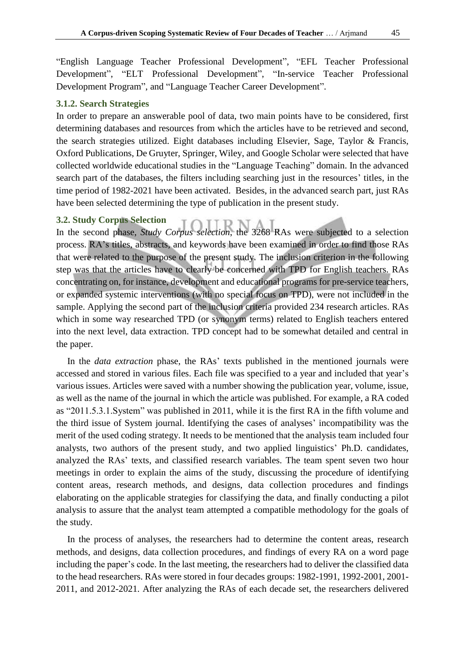"English Language Teacher Professional Development", "EFL Teacher Professional Development", "ELT Professional Development", "In-service Teacher Professional Development Program", and "Language Teacher Career Development".

#### **3.1.2. Search Strategies**

In order to prepare an answerable pool of data, two main points have to be considered, first determining databases and resources from which the articles have to be retrieved and second, the search strategies utilized. Eight databases including Elsevier, Sage, Taylor & Francis, Oxford Publications, De Gruyter, Springer, Wiley, and Google Scholar were selected that have collected worldwide educational studies in the "Language Teaching" domain. In the advanced search part of the databases, the filters including searching just in the resources' titles, in the time period of 1982-2021 have been activated. Besides, in the advanced search part, just RAs have been selected determining the type of publication in the present study.

#### **3.2. Study Corpus Selection**

In the second phase, *Study Corpus selection*, the 3268 RAs were subjected to a selection process. RA's titles, abstracts, and keywords have been examined in order to find those RAs that were related to the purpose of the present study. The inclusion criterion in the following step was that the articles have to clearly be concerned with TPD for English teachers. RAs concentrating on, for instance, development and educational programs for pre-service teachers, or expanded systemic interventions (with no special focus on TPD), were not included in the sample. Applying the second part of the inclusion criteria provided 234 research articles. RAs which in some way researched TPD (or synonym terms) related to English teachers entered into the next level, data extraction. TPD concept had to be somewhat detailed and central in the paper.

In the *data extraction* phase, the RAs' texts published in the mentioned journals were accessed and stored in various files. Each file was specified to a year and included that year's various issues. Articles were saved with a number showing the publication year, volume, issue, as well as the name of the journal in which the article was published. For example, a RA coded as "2011.5.3.1.System" was published in 2011, while it is the first RA in the fifth volume and the third issue of System journal. Identifying the cases of analyses' incompatibility was the merit of the used coding strategy. It needs to be mentioned that the analysis team included four analysts, two authors of the present study, and two applied linguistics' Ph.D. candidates, analyzed the RAs' texts, and classified research variables. The team spent seven two hour meetings in order to explain the aims of the study, discussing the procedure of identifying content areas, research methods, and designs, data collection procedures and findings elaborating on the applicable strategies for classifying the data, and finally conducting a pilot analysis to assure that the analyst team attempted a compatible methodology for the goals of the study.

In the process of analyses, the researchers had to determine the content areas, research methods, and designs, data collection procedures, and findings of every RA on a word page including the paper's code. In the last meeting, the researchers had to deliver the classified data to the head researchers. RAs were stored in four decades groups: 1982-1991, 1992-2001, 2001- 2011, and 2012-2021. After analyzing the RAs of each decade set, the researchers delivered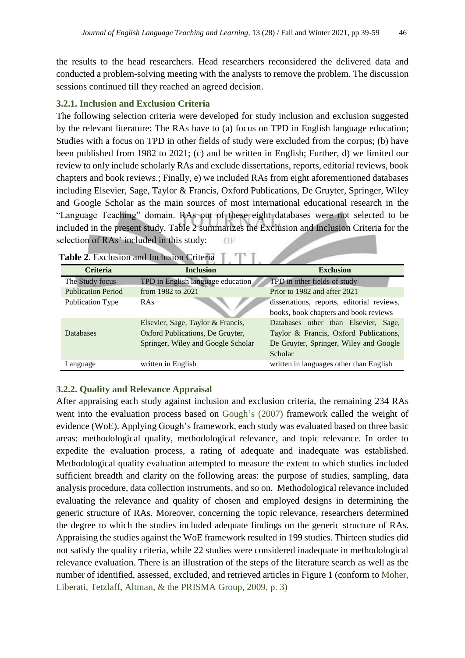the results to the head researchers. Head researchers reconsidered the delivered data and conducted a problem-solving meeting with the analysts to remove the problem. The discussion sessions continued till they reached an agreed decision.

### **3.2.1. Inclusion and Exclusion Criteria**

The following selection criteria were developed for study inclusion and exclusion suggested by the relevant literature: The RAs have to (a) focus on TPD in English language education; Studies with a focus on TPD in other fields of study were excluded from the corpus; (b) have been published from 1982 to 2021; (c) and be written in English; Further, d) we limited our review to only include scholarly RAs and exclude dissertations, reports, editorial reviews, book chapters and book reviews.; Finally, e) we included RAs from eight aforementioned databases including Elsevier, Sage, Taylor & Francis, Oxford Publications, De Gruyter, Springer, Wiley and Google Scholar as the main sources of most international educational research in the "Language Teaching" domain. RAs out of these eight databases were not selected to be included in the present study. [Table 2](#page-7-0) summarizes the Exclusion and Inclusion Criteria for the selection of RAs' included in this study:  $OF$ 

|                           | <b>Table 2.</b> EXCRESION and Incrusion Criteria |                                            |
|---------------------------|--------------------------------------------------|--------------------------------------------|
| <b>Criteria</b>           | <b>Inclusion</b>                                 | <b>Exclusion</b>                           |
| The Study focus           | TPD in English language education                | <b>TPD</b> in other fields of study        |
| <b>Publication Period</b> | from 1982 to 2021                                | Prior to 1982 and after 2021               |
| Publication Type          | RAs                                              | dissertations, reports, editorial reviews, |
|                           |                                                  | books, book chapters and book reviews      |
|                           | Elsevier, Sage, Taylor & Francis,                | Databases other than Elsevier, Sage,       |
| Databases                 | Oxford Publications, De Gruyter,                 | Taylor & Francis, Oxford Publications,     |
|                           | Springer, Wiley and Google Scholar               | De Gruyter, Springer, Wiley and Google     |
|                           |                                                  | Scholar                                    |
| Language                  | written in English                               | written in languages other than English    |

<span id="page-7-0"></span>

## **3.2.2. Quality and Relevance Appraisal**

After appraising each study against inclusion and exclusion criteria, the remaining 234 RAs went into the evaluation process based on [Gough's](#page-19-17) (2007) framework called the weight of evidence (WoE). Applying Gough's framework, each study was evaluated based on three basic areas: methodological quality, methodological relevance, and topic relevance. In order to expedite the evaluation process, a rating of adequate and inadequate was established. Methodological quality evaluation attempted to measure the extent to which studies included sufficient breadth and clarity on the following areas: the purpose of studies, sampling, data analysis procedure, data collection instruments, and so on. Methodological relevance included evaluating the relevance and quality of chosen and employed designs in determining the generic structure of RAs. Moreover, concerning the topic relevance, researchers determined the degree to which the studies included adequate findings on the generic structure of RAs. Appraising the studies against the WoE framework resulted in 199 studies. Thirteen studies did not satisfy the quality criteria, while 22 studies were considered inadequate in methodological relevance evaluation. There is an illustration of the steps of the literature search as well as the number of identified, assessed, excluded, and retrieved articles in Figure 1 (conform to [Moher,](#page-20-17)  [Liberati, Tetzlaff, Altman, & the PRISMA Group, 2009, p. 3\)](#page-20-17)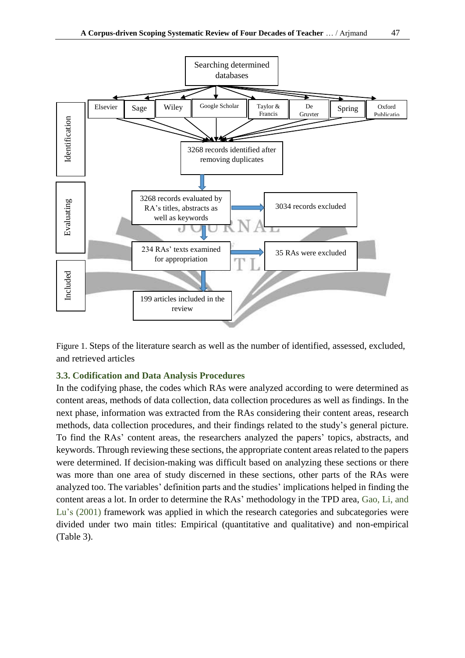

Figure 1. Steps of the literature search as well as the number of identified, assessed, excluded, and retrieved articles

### **3.3. Codification and Data Analysis Procedures**

In the codifying phase, the codes which RAs were analyzed according to were determined as content areas, methods of data collection, data collection procedures as well as findings. In the next phase, information was extracted from the RAs considering their content areas, research methods, data collection procedures, and their findings related to the study's general picture. To find the RAs' content areas, the researchers analyzed the papers' topics, abstracts, and keywords. Through reviewing these sections, the appropriate content areas related to the papers were determined. If decision-making was difficult based on analyzing these sections or there was more than one area of study discerned in these sections, other parts of the RAs were analyzed too. The variables' definition parts and the studies' implications helped in finding the content areas a lot. In order to determine the RAs' methodology in the TPD area, [Gao, Li, and](#page-18-17)  Lu's [\(2001\)](#page-18-17) framework was applied in which the research categories and subcategories were divided under two main titles: Empirical (quantitative and qualitative) and non-empirical [\(Table 3\).](#page-9-0)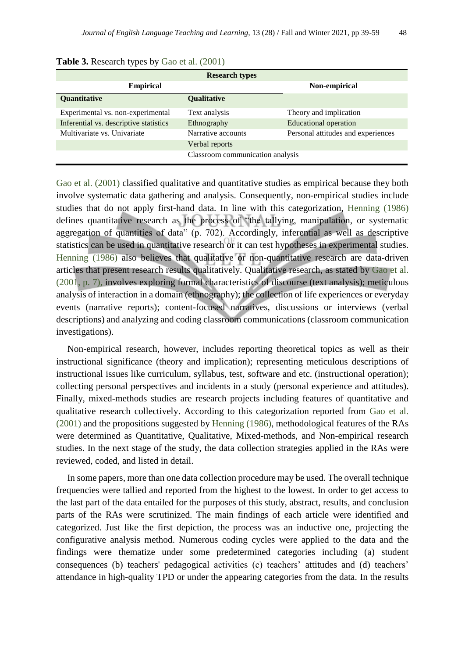| <b>Research types</b>                  |                                  |                                    |  |  |  |  |
|----------------------------------------|----------------------------------|------------------------------------|--|--|--|--|
| <b>Empirical</b>                       |                                  | Non-empirical                      |  |  |  |  |
| Quantitative                           | Qualitative                      |                                    |  |  |  |  |
| Experimental vs. non-experimental      | Text analysis                    | Theory and implication             |  |  |  |  |
| Inferential vs. descriptive statistics | Ethnography                      | <b>Educational operation</b>       |  |  |  |  |
| Multivariate vs. Univariate            | Narrative accounts               | Personal attitudes and experiences |  |  |  |  |
|                                        | Verbal reports                   |                                    |  |  |  |  |
|                                        | Classroom communication analysis |                                    |  |  |  |  |

<span id="page-9-0"></span>

| <b>Table 3.</b> Research types by Gao et al. (2001) |  |  |  |  |  |
|-----------------------------------------------------|--|--|--|--|--|
|-----------------------------------------------------|--|--|--|--|--|

[Gao et al. \(2001\)](#page-18-17) classified qualitative and quantitative studies as empirical because they both involve systematic data gathering and analysis. Consequently, non-empirical studies include studies that do not apply first-hand data. In line with this categorization, [Henning \(1986\)](#page-19-18) defines quantitative research as the process of "the tallying, manipulation, or systematic aggregation of quantities of data" (p. 702). Accordingly, inferential as well as descriptive statistics can be used in quantitative research or it can test hypotheses in experimental studies. [Henning \(1986\)](#page-19-18) also believes that qualitative or non-quantitative research are data-driven articles that present research results qualitatively. Qualitative research, as stated by [Gao et al.](#page-18-17)  [\(2001, p. 7\),](#page-18-17) involves exploring formal characteristics of discourse (text analysis); meticulous analysis of interaction in a domain (ethnography); the collection of life experiences or everyday events (narrative reports); content-focused narratives, discussions or interviews (verbal descriptions) and analyzing and coding classroom communications (classroom communication investigations).

Non-empirical research, however, includes reporting theoretical topics as well as their instructional significance (theory and implication); representing meticulous descriptions of instructional issues like curriculum, syllabus, test, software and etc. (instructional operation); collecting personal perspectives and incidents in a study (personal experience and attitudes). Finally, mixed-methods studies are research projects including features of quantitative and qualitative research collectively. According to this categorization reported from [Gao et al.](#page-18-17)  [\(2001\)](#page-18-17) and the propositions suggested by [Henning \(1986\),](#page-19-18) methodological features of the RAs were determined as Quantitative, Qualitative, Mixed-methods, and Non-empirical research studies. In the next stage of the study, the data collection strategies applied in the RAs were reviewed, coded, and listed in detail.

In some papers, more than one data collection procedure may be used. The overall technique frequencies were tallied and reported from the highest to the lowest. In order to get access to the last part of the data entailed for the purposes of this study, abstract, results, and conclusion parts of the RAs were scrutinized. The main findings of each article were identified and categorized. Just like the first depiction, the process was an inductive one, projecting the configurative analysis method. Numerous coding cycles were applied to the data and the findings were thematize under some predetermined categories including (a) student consequences (b) teachers' pedagogical activities (c) teachers' attitudes and (d) teachers' attendance in high-quality TPD or under the appearing categories from the data. In the results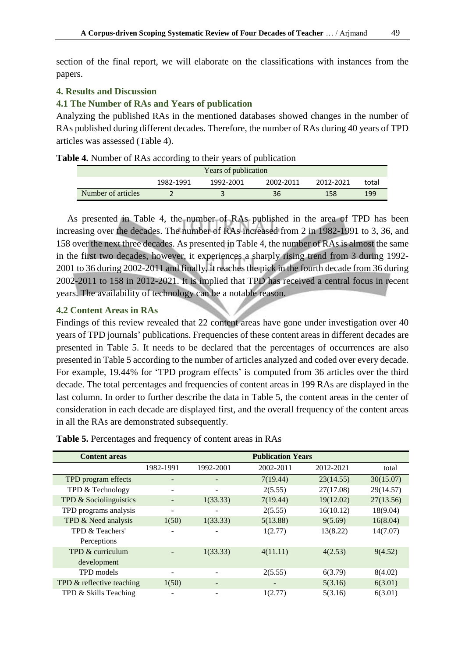section of the final report, we will elaborate on the classifications with instances from the papers.

### **4. Results and Discussion**

### **4.1 The Number of RAs and Years of publication**

Analyzing the published RAs in the mentioned databases showed changes in the number of RAs published during different decades. Therefore, the number of RAs during 40 years of TPD articles was assessed [\(Table 4\)](#page-10-0).

<span id="page-10-0"></span>

| Years of publication |           |           |           |           |       |
|----------------------|-----------|-----------|-----------|-----------|-------|
|                      | 1982-1991 | 1992-2001 | 2002-2011 | 2012-2021 | total |
| Number of articles   |           |           | 36        | 158       | 199   |

As presented in [Table 4,](#page-10-0) the number of RAs published in the area of TPD has been increasing over the decades. The number of RAs increased from 2 in 1982-1991 to 3, 36, and 158 over the next three decades. As presented i[n Table 4,](#page-10-0) the number of RAs is almost the same in the first two decades, however, it experiences a sharply rising trend from 3 during 1992- 2001 to 36 during 2002-2011 and finally, it reaches the pick in the fourth decade from 36 during 2002-2011 to 158 in 2012-2021. It is implied that TPD has received a central focus in recent years. The availability of technology can be a notable reason.

### **4.2 Content Areas in RAs**

Findings of this review revealed that 22 content areas have gone under investigation over 40 years of TPD journals' publications. Frequencies of these content areas in different decades are presented in [Table 5.](#page-10-1) It needs to be declared that the percentages of occurrences are also presented in [Table 5](#page-10-1) according to the number of articles analyzed and coded over every decade. For example, 19.44% for 'TPD program effects' is computed from 36 articles over the third decade. The total percentages and frequencies of content areas in 199 RAs are displayed in the last column. In order to further describe the data in [Table 5,](#page-10-1) the content areas in the center of consideration in each decade are displayed first, and the overall frequency of the content areas in all the RAs are demonstrated subsequently.

| <b>Content areas</b>      | <b>Publication Years</b> |                          |           |           |           |  |
|---------------------------|--------------------------|--------------------------|-----------|-----------|-----------|--|
|                           | 1982-1991                | 1992-2001                | 2002-2011 | 2012-2021 | total     |  |
| TPD program effects       |                          |                          | 7(19.44)  | 23(14.55) | 30(15.07) |  |
| TPD & Technology          |                          | -                        | 2(5.55)   | 27(17.08) | 29(14.57) |  |
| TPD & Sociolinguistics    |                          | 1(33.33)                 | 7(19.44)  | 19(12.02) | 27(13.56) |  |
| TPD programs analysis     | ۰                        | $\overline{\phantom{a}}$ | 2(5.55)   | 16(10.12) | 18(9.04)  |  |
| TPD & Need analysis       | 1(50)                    | 1(33.33)                 | 5(13.88)  | 9(5.69)   | 16(8.04)  |  |
| TPD & Teachers'           |                          |                          | 1(2.77)   | 13(8.22)  | 14(7.07)  |  |
| Perceptions               |                          |                          |           |           |           |  |
| TPD & curriculum          |                          | 1(33.33)                 | 4(11.11)  | 4(2.53)   | 9(4.52)   |  |
| development               |                          |                          |           |           |           |  |
| TPD models                | $\overline{\phantom{a}}$ | $\qquad \qquad -$        | 2(5.55)   | 6(3.79)   | 8(4.02)   |  |
| TPD & reflective teaching | 1(50)                    | $\overline{\phantom{a}}$ |           | 5(3.16)   | 6(3.01)   |  |
| TPD & Skills Teaching     |                          | $\overline{a}$           | 1(2.77)   | 5(3.16)   | 6(3.01)   |  |

<span id="page-10-1"></span>**Table 5.** Percentages and frequency of content areas in RAs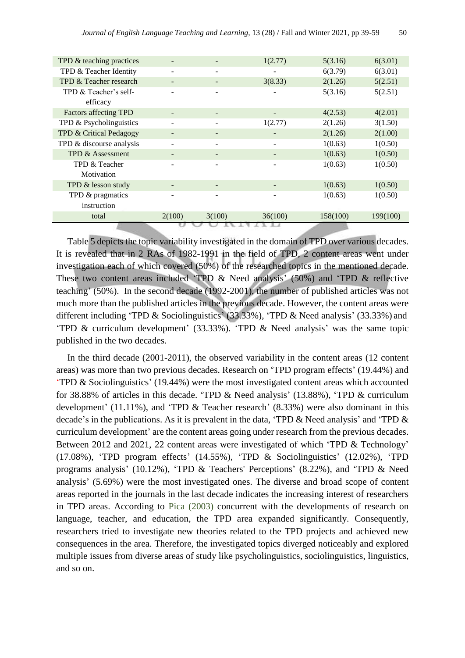| TPD & teaching practices     |                              |                          | 1(2.77)         | 5(3.16)  | 6(3.01)  |
|------------------------------|------------------------------|--------------------------|-----------------|----------|----------|
| TPD & Teacher Identity       |                              | -                        |                 | 6(3.79)  | 6(3.01)  |
| TPD & Teacher research       |                              |                          | 3(8.33)         | 2(1.26)  | 5(2.51)  |
| TPD & Teacher's self-        | $\overline{\phantom{a}}$     | -                        |                 | 5(3.16)  | 5(2.51)  |
| efficacy                     |                              |                          |                 |          |          |
| <b>Factors affecting TPD</b> |                              | $\overline{\phantom{a}}$ |                 | 4(2.53)  | 4(2.01)  |
| TPD & Psycholinguistics      | $\qquad \qquad -$            | $\overline{\phantom{a}}$ | 1(2.77)         | 2(1.26)  | 3(1.50)  |
| TPD & Critical Pedagogy      | $\overline{\phantom{a}}$     | $\overline{\phantom{0}}$ |                 | 2(1.26)  | 2(1.00)  |
| TPD & discourse analysis     | -                            | $\overline{\phantom{a}}$ | $\qquad \qquad$ | 1(0.63)  | 1(0.50)  |
| TPD & Assessment             |                              |                          |                 | 1(0.63)  | 1(0.50)  |
| TPD & Teacher                | $\qquad \qquad$              | $\overline{\phantom{a}}$ |                 | 1(0.63)  | 1(0.50)  |
| Motivation                   |                              |                          |                 |          |          |
| TPD & lesson study           | $\qquad \qquad \blacksquare$ | -                        |                 | 1(0.63)  | 1(0.50)  |
| TPD & pragmatics             | $\qquad \qquad$              | -                        |                 | 1(0.63)  | 1(0.50)  |
| instruction                  |                              |                          |                 |          |          |
| total                        | 2(100)                       | 3(100)                   | 36(100)         | 158(100) | 199(100) |
|                              |                              |                          |                 |          |          |

[Table 5](#page-10-1) depicts the topic variability investigated in the domain of TPD over various decades. It is revealed that in 2 RAs of 1982-1991 in the field of TPD, 2 content areas went under investigation each of which covered (50%) of the researched topics in the mentioned decade. These two content areas included 'TPD & Need analysis' (50%) and 'TPD & reflective teaching' (50%). In the second decade (1992-2001), the number of published articles was not much more than the published articles in the previous decade. However, the content areas were different including 'TPD & Sociolinguistics' (33.33%), 'TPD & Need analysis' (33.33%) and 'TPD & curriculum development' (33.33%). 'TPD & Need analysis' was the same topic published in the two decades.

In the third decade (2001-2011), the observed variability in the content areas (12 content areas) was more than two previous decades. Research on 'TPD program effects' (19.44%) and 'TPD & Sociolinguistics' (19.44%) were the most investigated content areas which accounted for 38.88% of articles in this decade. 'TPD & Need analysis' (13.88%), 'TPD & curriculum development' (11.11%), and 'TPD & Teacher research' (8.33%) were also dominant in this decade's in the publications. As it is prevalent in the data, 'TPD & Need analysis' and 'TPD & curriculum development' are the content areas going under research from the previous decades. Between 2012 and 2021, 22 content areas were investigated of which 'TPD & Technology' (17.08%), 'TPD program effects' (14.55%), 'TPD & Sociolinguistics' (12.02%), 'TPD programs analysis' (10.12%), 'TPD & Teachers' Perceptions' (8.22%), and 'TPD & Need analysis' (5.69%) were the most investigated ones. The diverse and broad scope of content areas reported in the journals in the last decade indicates the increasing interest of researchers in TPD areas. According to [Pica \(2003\)](#page-20-18) concurrent with the developments of research on language, teacher, and education, the TPD area expanded significantly. Consequently, researchers tried to investigate new theories related to the TPD projects and achieved new consequences in the area. Therefore, the investigated topics diverged noticeably and explored multiple issues from diverse areas of study like psycholinguistics, sociolinguistics, linguistics, and so on.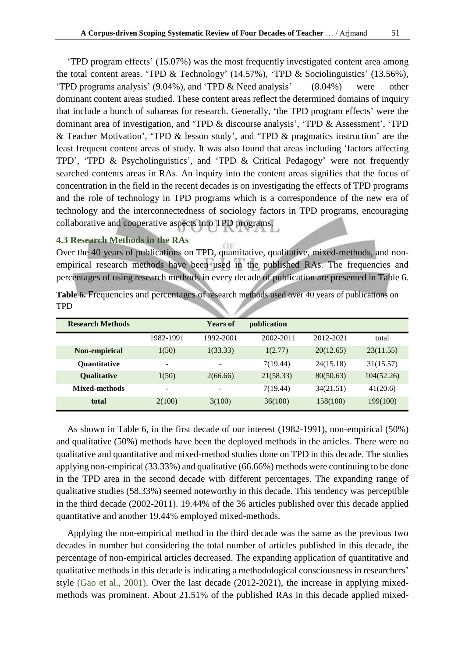'TPD program effects' (15.07%) was the most frequently investigated content area among the total content areas. 'TPD & Technology' (14.57%), 'TPD & Sociolinguistics' (13.56%), 'TPD programs analysis' (9.04%), and 'TPD & Need analysis' (8.04%) were other dominant content areas studied. These content areas reflect the determined domains of inquiry that include a bunch of subareas for research. Generally, 'the TPD program effects' were the dominant area of investigation, and 'TPD & discourse analysis', 'TPD & Assessment', 'TPD & Teacher Motivation', 'TPD & lesson study', and 'TPD & pragmatics instruction' are the least frequent content areas of study. It was also found that areas including 'factors affecting TPD', 'TPD & Psycholinguistics', and 'TPD & Critical Pedagogy' were not frequently searched contents areas in RAs. An inquiry into the content areas signifies that the focus of concentration in the field in the recent decades is on investigating the effects of TPD programs and the role of technology in TPD programs which is a correspondence of the new era of technology and the interconnectedness of sociology factors in TPD programs, encouraging collaborative and cooperative aspects into TPD programs.

### **4.3 Research Methods in the RAs**

Over the 40 years of publications on TPD, quantitative, qualitative, mixed-methods, and nonempirical research methods have been used in the published RAs. The frequencies and percentages of using research methods in every decade of publication are presented in [Table 6.](#page-12-0)

<span id="page-12-0"></span>Table 6. Frequencies and percentages of research methods used over 40 years of publications on TPD

| <b>Research Methods</b> |                          | <b>Years of</b>          | publication |           |            |
|-------------------------|--------------------------|--------------------------|-------------|-----------|------------|
|                         | 1982-1991                | 1992-2001                | 2002-2011   | 2012-2021 | total      |
| Non-empirical           | 1(50)                    | 1(33.33)                 | 1(2.77)     | 20(12.65) | 23(11.55)  |
| <b>Quantitative</b>     | ۰                        | $\overline{\phantom{a}}$ | 7(19.44)    | 24(15.18) | 31(15.57)  |
| <b>Qualitative</b>      | 1(50)                    | 2(66.66)                 | 21(58.33)   | 80(50.63) | 104(52.26) |
| Mixed-methods           | $\overline{\phantom{a}}$ | -                        | 7(19.44)    | 34(21.51) | 41(20.6)   |
| total                   | 2(100)                   | 3(100)                   | 36(100)     | 158(100)  | 199(100)   |

As shown in [Table 6,](#page-12-0) in the first decade of our interest (1982-1991), non-empirical (50%) and qualitative (50%) methods have been the deployed methods in the articles. There were no qualitative and quantitative and mixed-method studies done on TPD in this decade. The studies applying non-empirical (33.33%) and qualitative (66.66%) methods were continuing to be done in the TPD area in the second decade with different percentages. The expanding range of qualitative studies (58.33%) seemed noteworthy in this decade. This tendency was perceptible in the third decade (2002-2011). 19.44% of the 36 articles published over this decade applied quantitative and another 19.44% employed mixed-methods.

Applying the non-empirical method in the third decade was the same as the previous two decades in number but considering the total number of articles published in this decade, the percentage of non-empirical articles decreased. The expanding application of quantitative and qualitative methods in this decade is indicating a methodological consciousness in researchers' style [\(Gao et al., 2001\).](#page-18-17) Over the last decade (2012-2021), the increase in applying mixedmethods was prominent. About 21.51% of the published RAs in this decade applied mixed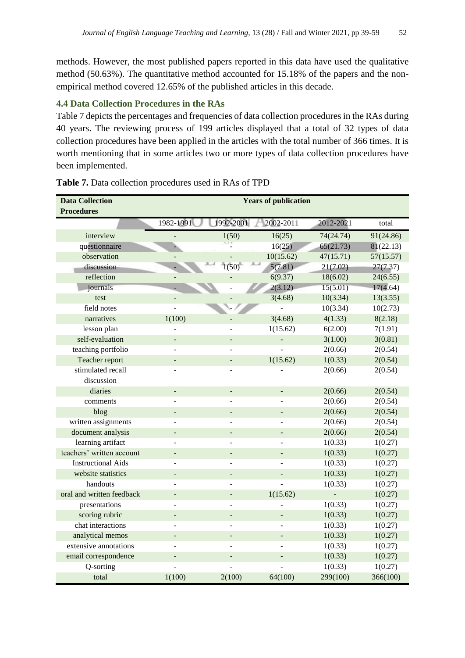methods. However, the most published papers reported in this data have used the qualitative method (50.63%). The quantitative method accounted for 15.18% of the papers and the nonempirical method covered 12.65% of the published articles in this decade.

### **4.4 Data Collection Procedures in the RAs**

[Table 7](#page-13-0) depicts the percentages and frequencies of data collection procedures in the RAs during 40 years. The reviewing process of 199 articles displayed that a total of 32 types of data collection procedures have been applied in the articles with the total number of 366 times. It is worth mentioning that in some articles two or more types of data collection procedures have been implemented.

| <b>Data Collection</b>    | <b>Years of publication</b> |                   |           |           |           |  |
|---------------------------|-----------------------------|-------------------|-----------|-----------|-----------|--|
| <b>Procedures</b>         |                             |                   |           |           |           |  |
|                           | 1982-1991                   | 1992-2001         | 2002-2011 | 2012-2021 | total     |  |
| interview                 |                             | 1(50)             | 16(25)    | 74(24.74) | 91(24.86) |  |
| questionnaire             |                             |                   | 16(25)    | 65(21.73) | 81(22.13) |  |
| observation               |                             |                   | 10(15.62) | 47(15.71) | 57(15.57) |  |
| discussion                |                             | 1(50)             | 5(7.81)   | 21(7.02)  | 27(7.37)  |  |
| reflection                |                             |                   | 6(9.37)   | 18(6.02)  | 24(6.55)  |  |
| journals                  |                             |                   | 2(3.12)   | 15(5.01)  | 17(4.64)  |  |
| test                      | L,                          |                   | 3(4.68)   | 10(3.34)  | 13(3.55)  |  |
| field notes               |                             |                   |           | 10(3.34)  | 10(2.73)  |  |
| narratives                | 1(100)                      |                   | 3(4.68)   | 4(1.33)   | 8(2.18)   |  |
| lesson plan               |                             |                   | 1(15.62)  | 6(2.00)   | 7(1.91)   |  |
| self-evaluation           | $\overline{a}$              | $\overline{a}$    |           | 3(1.00)   | 3(0.81)   |  |
| teaching portfolio        |                             |                   |           | 2(0.66)   | 2(0.54)   |  |
| Teacher report            | $\overline{\phantom{a}}$    | ÷,                | 1(15.62)  | 1(0.33)   | 2(0.54)   |  |
| stimulated recall         |                             |                   |           | 2(0.66)   | 2(0.54)   |  |
| discussion                |                             |                   |           |           |           |  |
| diaries                   | ÷,                          | $\qquad \qquad -$ |           | 2(0.66)   | 2(0.54)   |  |
| comments                  |                             |                   |           | 2(0.66)   | 2(0.54)   |  |
| blog                      | $\overline{\phantom{0}}$    | $\frac{1}{2}$     |           | 2(0.66)   | 2(0.54)   |  |
| written assignments       |                             |                   |           | 2(0.66)   | 2(0.54)   |  |
| document analysis         | $\overline{\phantom{0}}$    | $\overline{a}$    |           | 2(0.66)   | 2(0.54)   |  |
| learning artifact         |                             |                   |           | 1(0.33)   | 1(0.27)   |  |
| teachers' written account | $\overline{\phantom{0}}$    |                   |           | 1(0.33)   | 1(0.27)   |  |
| <b>Instructional Aids</b> |                             |                   |           | 1(0.33)   | 1(0.27)   |  |
| website statistics        | $\overline{a}$              |                   |           | 1(0.33)   | 1(0.27)   |  |
| handouts                  |                             |                   |           | 1(0.33)   | 1(0.27)   |  |
| oral and written feedback | $\overline{a}$              | $\overline{a}$    | 1(15.62)  |           | 1(0.27)   |  |
| presentations             |                             |                   |           | 1(0.33)   | 1(0.27)   |  |
| scoring rubric            | $\overline{a}$              | $\overline{a}$    |           | 1(0.33)   | 1(0.27)   |  |
| chat interactions         |                             |                   |           | 1(0.33)   | 1(0.27)   |  |
| analytical memos          | $\overline{a}$              | $\overline{a}$    |           | 1(0.33)   | 1(0.27)   |  |
| extensive annotations     |                             |                   |           | 1(0.33)   | 1(0.27)   |  |
| email correspondence      | $\qquad \qquad -$           | $\overline{a}$    |           | 1(0.33)   | 1(0.27)   |  |
| Q-sorting                 |                             |                   |           | 1(0.33)   | 1(0.27)   |  |
| total                     | 1(100)                      | 2(100)            | 64(100)   | 299(100)  | 366(100)  |  |

### <span id="page-13-0"></span>**Table 7.** Data collection procedures used in RAs of TPD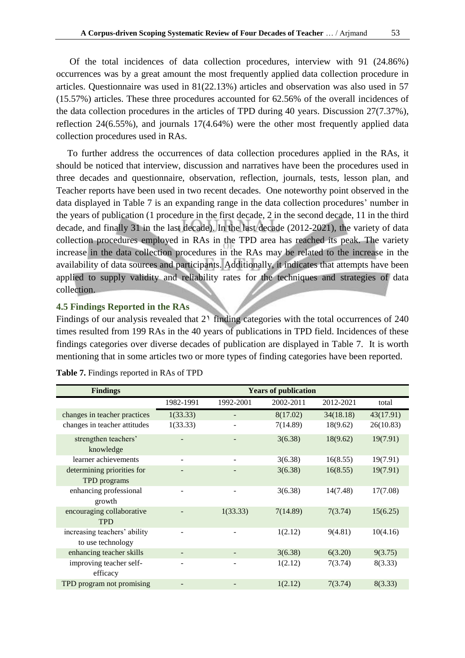Of the total incidences of data collection procedures, interview with 91 (24.86%) occurrences was by a great amount the most frequently applied data collection procedure in articles. Questionnaire was used in 81(22.13%) articles and observation was also used in 57 (15.57%) articles. These three procedures accounted for 62.56% of the overall incidences of the data collection procedures in the articles of TPD during 40 years. Discussion 27(7.37%), reflection 24(6.55%), and journals 17(4.64%) were the other most frequently applied data collection procedures used in RAs.

To further address the occurrences of data collection procedures applied in the RAs, it should be noticed that interview, discussion and narratives have been the procedures used in three decades and questionnaire, observation, reflection, journals, tests, lesson plan, and Teacher reports have been used in two recent decades. One noteworthy point observed in the data displayed in [Table 7](#page-13-0) is an expanding range in the data collection procedures' number in the years of publication (1 procedure in the first decade, 2 in the second decade, 11 in the third decade, and finally 31 in the last decade). In the last decade (2012-2021), the variety of data collection procedures employed in RAs in the TPD area has reached its peak. The variety increase in the data collection procedures in the RAs may be related to the increase in the availability of data sources and participants. Additionally, it indicates that attempts have been applied to supply validity and reliability rates for the techniques and strategies of data collection.

### **4.5 Findings Reported in the RAs**

Findings of our analysis revealed that  $2<sup>1</sup>$  finding categories with the total occurrences of  $240$ times resulted from 199 RAs in the 40 years of publications in TPD field. Incidences of these findings categories over diverse decades of publication are displayed in [Table 7.](#page-13-0) It is worth mentioning that in some articles two or more types of finding categories have been reported.

| <b>Findings</b>                                   | <b>Years of publication</b> |           |           |           |           |  |
|---------------------------------------------------|-----------------------------|-----------|-----------|-----------|-----------|--|
|                                                   | 1982-1991                   | 1992-2001 | 2002-2011 | 2012-2021 | total     |  |
| changes in teacher practices                      | 1(33.33)                    |           | 8(17.02)  | 34(18.18) | 43(17.91) |  |
| changes in teacher attitudes                      | 1(33.33)                    |           | 7(14.89)  | 18(9.62)  | 26(10.83) |  |
| strengthen teachers'<br>knowledge                 |                             |           | 3(6.38)   | 18(9.62)  | 19(7.91)  |  |
| learner achievements                              |                             |           | 3(6.38)   | 16(8.55)  | 19(7.91)  |  |
| determining priorities for<br>TPD programs        |                             |           | 3(6.38)   | 16(8.55)  | 19(7.91)  |  |
| enhancing professional<br>growth                  |                             |           | 3(6.38)   | 14(7.48)  | 17(7.08)  |  |
| encouraging collaborative<br><b>TPD</b>           |                             | 1(33.33)  | 7(14.89)  | 7(3.74)   | 15(6.25)  |  |
| increasing teachers' ability<br>to use technology |                             |           | 1(2.12)   | 9(4.81)   | 10(4.16)  |  |
| enhancing teacher skills                          |                             |           | 3(6.38)   | 6(3.20)   | 9(3.75)   |  |
| improving teacher self-<br>efficacy               | ٠                           |           | 1(2.12)   | 7(3.74)   | 8(3.33)   |  |
| TPD program not promising                         |                             |           | 1(2.12)   | 7(3.74)   | 8(3.33)   |  |

**Table 7.** Findings reported in RAs of TPD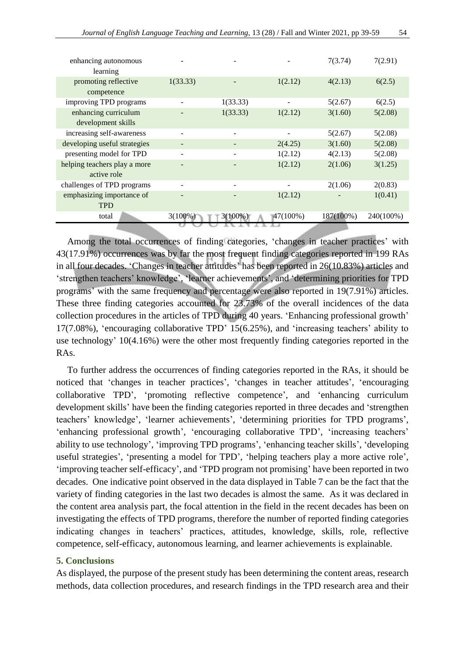| enhancing autonomous<br>learning |            |            |          | 7(3.74)   | 7(2.91)   |
|----------------------------------|------------|------------|----------|-----------|-----------|
| promoting reflective             | 1(33.33)   |            | 1(2.12)  | 4(2.13)   | 6(2.5)    |
| competence                       |            |            |          |           |           |
| improving TPD programs           |            | 1(33.33)   |          | 5(2.67)   | 6(2.5)    |
| enhancing curriculum             |            | 1(33.33)   | 1(2.12)  | 3(1.60)   | 5(2.08)   |
| development skills               |            |            |          |           |           |
| increasing self-awareness        |            |            |          | 5(2.67)   | 5(2.08)   |
| developing useful strategies     |            |            | 2(4.25)  | 3(1.60)   | 5(2.08)   |
| presenting model for TPD         |            |            | 1(2.12)  | 4(2.13)   | 5(2.08)   |
| helping teachers play a more     |            |            | 1(2.12)  | 2(1.06)   | 3(1.25)   |
| active role                      |            |            |          |           |           |
| challenges of TPD programs       |            |            |          | 2(1.06)   | 2(0.83)   |
| emphasizing importance of        |            |            | 1(2.12)  |           | 1(0.41)   |
| <b>TPD</b>                       |            |            |          |           |           |
| total                            | $3(100\%)$ | $3(100\%)$ | 47(100%) | 187(100%) | 240(100%) |
|                                  |            |            |          |           |           |

Among the total occurrences of finding categories, 'changes in teacher practices' with 43(17.91%) occurrences was by far the most frequent finding categories reported in 199 RAs in all four decades. 'Changes in teacher attitudes' has been reported in 26(10.83%) articles and 'strengthen teachers' knowledge', 'learner achievements', and 'determining priorities for TPD programs' with the same frequency and percentage were also reported in 19(7.91%) articles. These three finding categories accounted for 23.73% of the overall incidences of the data collection procedures in the articles of TPD during 40 years. 'Enhancing professional growth' 17(7.08%), 'encouraging collaborative TPD' 15(6.25%), and 'increasing teachers' ability to use technology' 10(4.16%) were the other most frequently finding categories reported in the RAs.

To further address the occurrences of finding categories reported in the RAs, it should be noticed that 'changes in teacher practices', 'changes in teacher attitudes', 'encouraging collaborative TPD', 'promoting reflective competence', and 'enhancing curriculum development skills' have been the finding categories reported in three decades and 'strengthen teachers' knowledge', 'learner achievements', 'determining priorities for TPD programs', 'enhancing professional growth', 'encouraging collaborative TPD', 'increasing teachers' ability to use technology', 'improving TPD programs', 'enhancing teacher skills', 'developing useful strategies', 'presenting a model for TPD', 'helping teachers play a more active role', 'improving teacher self-efficacy', and 'TPD program not promising' have been reported in two decades. One indicative point observed in the data displayed in [Table 7](#page-13-0) can be the fact that the variety of finding categories in the last two decades is almost the same. As it was declared in the content area analysis part, the focal attention in the field in the recent decades has been on investigating the effects of TPD programs, therefore the number of reported finding categories indicating changes in teachers' practices, attitudes, knowledge, skills, role, reflective competence, self-efficacy, autonomous learning, and learner achievements is explainable.

### **5. Conclusions**

As displayed, the purpose of the present study has been determining the content areas, research methods, data collection procedures, and research findings in the TPD research area and their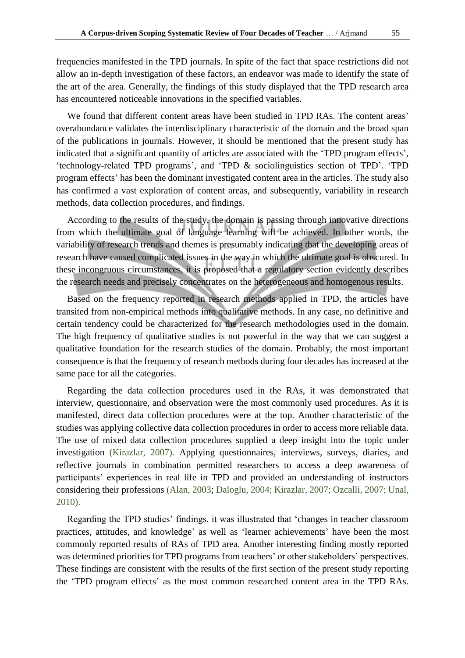frequencies manifested in the TPD journals. In spite of the fact that space restrictions did not allow an in-depth investigation of these factors, an endeavor was made to identify the state of the art of the area. Generally, the findings of this study displayed that the TPD research area has encountered noticeable innovations in the specified variables.

We found that different content areas have been studied in TPD RAs. The content areas' overabundance validates the interdisciplinary characteristic of the domain and the broad span of the publications in journals. However, it should be mentioned that the present study has indicated that a significant quantity of articles are associated with the 'TPD program effects', 'technology-related TPD programs', and 'TPD & sociolinguistics section of TPD'. 'TPD program effects' has been the dominant investigated content area in the articles. The study also has confirmed a vast exploration of content areas, and subsequently, variability in research methods, data collection procedures, and findings.

According to the results of the study, the domain is passing through innovative directions from which the ultimate goal of language learning will be achieved. In other words, the variability of research trends and themes is presumably indicating that the developing areas of research have caused complicated issues in the way in which the ultimate goal is obscured. In these incongruous circumstances, it is proposed that a regulatory section evidently describes the research needs and precisely concentrates on the heterogeneous and homogenous results.

Based on the frequency reported in research methods applied in TPD, the articles have transited from non-empirical methods into qualitative methods. In any case, no definitive and certain tendency could be characterized for the research methodologies used in the domain. The high frequency of qualitative studies is not powerful in the way that we can suggest a qualitative foundation for the research studies of the domain. Probably, the most important consequence is that the frequency of research methods during four decades has increased at the same pace for all the categories.

Regarding the data collection procedures used in the RAs, it was demonstrated that interview, questionnaire, and observation were the most commonly used procedures. As it is manifested, direct data collection procedures were at the top. Another characteristic of the studies was applying collective data collection procedures in order to access more reliable data. The use of mixed data collection procedures supplied a deep insight into the topic under investigation [\(Kirazlar,](#page-19-19) 2007). Applying questionnaires, interviews, surveys, diaries, and reflective journals in combination permitted researchers to access a deep awareness of participants' experiences in real life in TPD and provided an understanding of instructors considering their professions [\(Alan,](#page-18-18) 2003; [Daloglu,](#page-18-19) 2004; [Kirazlar, 2007;](#page-19-19) [Ozcalli,](#page-20-19) 2007; [Unal,](#page-20-20)  [2010\).](#page-20-20)

Regarding the TPD studies' findings, it was illustrated that 'changes in teacher classroom practices, attitudes, and knowledge' as well as 'learner achievements' have been the most commonly reported results of RAs of TPD area. Another interesting finding mostly reported was determined priorities for TPD programs from teachers' or other stakeholders' perspectives. These findings are consistent with the results of the first section of the present study reporting the 'TPD program effects' as the most common researched content area in the TPD RAs.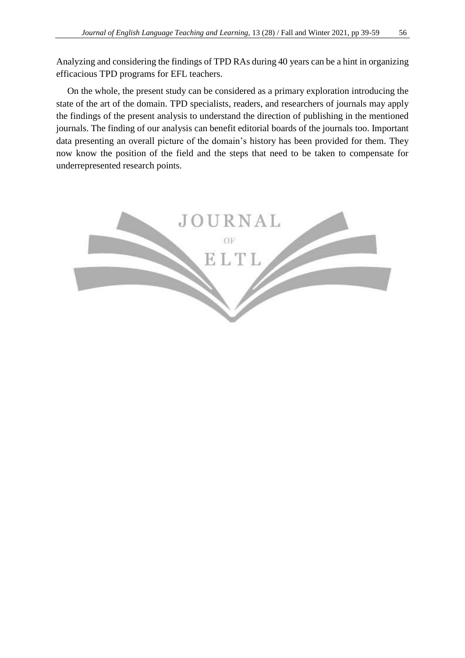Analyzing and considering the findings of TPD RAs during 40 years can be a hint in organizing efficacious TPD programs for EFL teachers.

On the whole, the present study can be considered as a primary exploration introducing the state of the art of the domain. TPD specialists, readers, and researchers of journals may apply the findings of the present analysis to understand the direction of publishing in the mentioned journals. The finding of our analysis can benefit editorial boards of the journals too. Important data presenting an overall picture of the domain's history has been provided for them. They now know the position of the field and the steps that need to be taken to compensate for underrepresented research points.

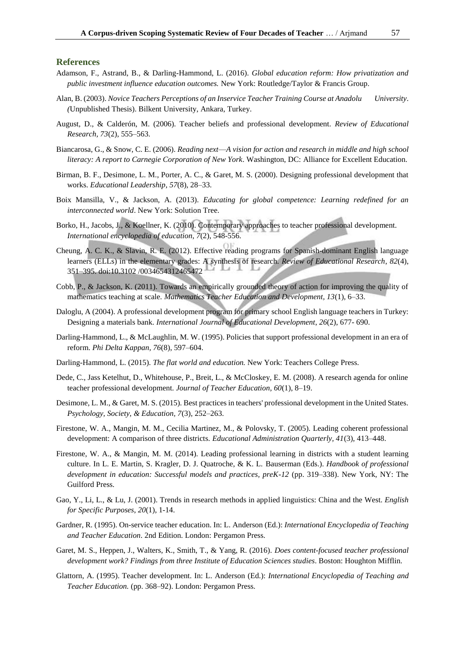#### **References**

- <span id="page-18-3"></span>Adamson, F., Astrand, B., & Darling-Hammond, L. (2016). *Global education reform: How privatization and public investment influence education outcomes.* New York: Routledge/Taylor & Francis Group.
- <span id="page-18-18"></span>Alan, B. (2003). *Novice Teachers Perceptions of an Inservice Teacher Training Course at Anadolu University*. *(*Unpublished Thesis). Bilkent University, Ankara, Turkey.
- <span id="page-18-1"></span>August, D., & Calderón, M. (2006). Teacher beliefs and professional development. *Review of Educational Research, 73*(2), 555–563.
- <span id="page-18-8"></span>Biancarosa, G., & Snow, C. E. (2006). *Reading next*—*A vision for action and research in middle and high school literacy: A report to Carnegie Corporation of New York*. Washington, DC: Alliance for Excellent Education.
- <span id="page-18-7"></span>Birman, B. F., Desimone, L. M., Porter, A. C., & Garet, M. S. (2000). Designing professional development that works. *Educational Leadership*, *57*(8), 28–33.
- <span id="page-18-5"></span>Boix Mansilla, V., & Jackson, A. (2013). *Educating for global competence: Learning redefined for an interconnected world*. New York: Solution Tree.
- <span id="page-18-10"></span>Borko, H., Jacobs, J., & Koellner, K. (2010). Contemporary approaches to teacher professional development. *International encyclopedia of education*, *7*(2), 548-556.
- <span id="page-18-9"></span>Cheung, A. C. K., & Slavin, R. E. (2012). Effective reading programs for Spanish-dominant English language learners (ELLs) in the elementary grades: A synthesis of research. *Review of Educational Research*, *82*(4), 351–395. doi:10.3102 /0034654312465472
- <span id="page-18-16"></span>Cobb, P., & Jackson, K. (2011). Towards an empirically grounded theory of action for improving the quality of mathematics teaching at scale. *Mathematics Teacher Education and Development, 13*(1), 6–33.
- <span id="page-18-19"></span>Daloglu, A (2004). A professional development program for primary school English language teachers in Turkey: Designing a materials bank. *International Journal of Educational Development*, *26*(2), 677- 690.
- <span id="page-18-11"></span>Darling-Hammond, L., & McLaughlin, M. W. (1995). Policies that support professional development in an era of reform. *Phi Delta Kappan, 76*(8), 597–604.
- <span id="page-18-4"></span>Darling-Hammond, L. (2015). *The flat world and education.* New York: Teachers College Press.
- <span id="page-18-12"></span>Dede, C., Jass Ketelhut, D., Whitehouse, P., Breit, L., & McCloskey, E. M. (2008). A research agenda for online teacher professional development. *Journal of Teacher Education, 60*(1), 8–19.
- <span id="page-18-14"></span>Desimone, L. M., & Garet, M. S. (2015). Best practices in teachers' professional development in the United States. *Psychology, Society, & Education, 7*(3), 252–263.
- <span id="page-18-15"></span>Firestone, W. A., Mangin, M. M., Cecilia Martinez, M., & Polovsky, T. (2005). Leading coherent professional development: A comparison of three districts. *Educational Administration Quarterly, 41*(3), 413–448.
- <span id="page-18-6"></span>Firestone, W. A., & Mangin, M. M. (2014). Leading professional learning in districts with a student learning culture. In L. E. Martin, S. Kragler, D. J. Quatroche, & K. L. Bauserman (Eds.). *Handbook of professional development in education: Successful models and practices, preK-12* (pp. 319–338). New York, NY: The Guilford Press.
- <span id="page-18-17"></span>Gao, Y., Li, L., & Lu, J. (2001). Trends in research methods in applied linguistics: China and the West. *English for Specific Purposes*, *20*(1), 1-14.
- <span id="page-18-2"></span>Gardner, R. (1995). On-service teacher education. In: L. Anderson (Ed.): *International Encyclopedia of Teaching and Teacher Education*. 2nd Edition. London: Pergamon Press.
- <span id="page-18-13"></span>Garet, M. S., Heppen, J., Walters, K., Smith, T., & Yang, R. (2016). *Does content-focused teacher professional development work? Findings from three Institute of Education Sciences studies*. Boston: Houghton Mifflin.
- <span id="page-18-0"></span>Glattorn, A. (1995). Teacher development. In: L. Anderson (Ed.): *International Encyclopedia of Teaching and Teacher Education.* (pp. 368–92). London: Pergamon Press.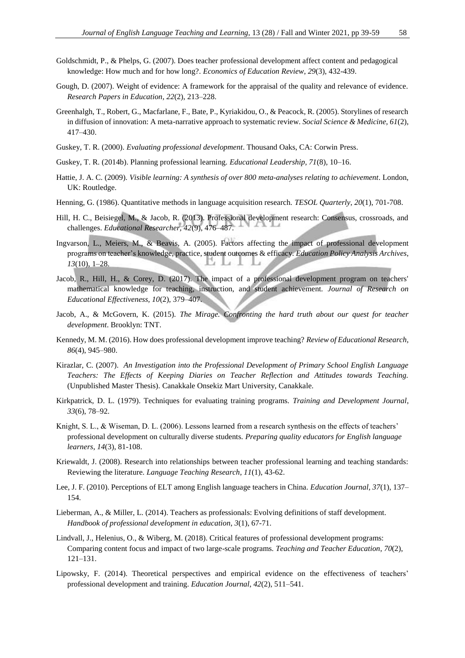- <span id="page-19-6"></span>Goldschmidt, P., & Phelps, G. (2007). Does teacher professional development affect content and pedagogical knowledge: How much and for how long?. *Economics of Education Review*, *29*(3), 432-439.
- <span id="page-19-17"></span>Gough, D. (2007). Weight of evidence: A framework for the appraisal of the quality and relevance of evidence. *Research Papers in Education*, *22*(2), 213–228.
- <span id="page-19-16"></span>Greenhalgh, T., Robert, G., Macfarlane, F., Bate, P., Kyriakidou, O., & Peacock, R. (2005). Storylines of research in diffusion of innovation: A meta-narrative approach to systematic review. *Social Science & Medicine, 61*(2), 417–430.
- <span id="page-19-8"></span>Guskey, T. R. (2000). *Evaluating professional development*. Thousand Oaks, CA: Corwin Press.
- <span id="page-19-14"></span>Guskey, T. R. (2014b). Planning professional learning. *Educational Leadership, 71*(8), 10–16.
- <span id="page-19-2"></span>Hattie, J. A. C. (2009). *Visible learning: A synthesis of over 800 meta-analyses relating to achievement*. London, UK: Routledge.
- <span id="page-19-18"></span>Henning, G. (1986). Quantitative methods in language acquisition research. *TESOL Quarterly*, *20*(1), 701-708.
- <span id="page-19-13"></span>Hill, H. C., Beisiegel, M., & Jacob, R. (2013). Professional development research: Consensus, crossroads, and challenges. *Educational Researcher, 42*(9), 476–487.
- <span id="page-19-9"></span>Ingvarson, L., Meiers, M., & Beavis, A. (2005). Factors affecting the impact of professional development programs on teacher's knowledge, practice, student outcomes & efficacy. *Education Policy Analysis Archives*, *13*(10), 1–28. ï  $\mathcal{A}$
- <span id="page-19-11"></span>Jacob, R., Hill, H., & Corey, D. (2017). The impact of a professional development program on teachers' mathematical knowledge for teaching, instruction, and student achievement. *Journal of Research on Educational Effectiveness, 10*(2), 379–407.
- <span id="page-19-1"></span>Jacob, A., & McGovern, K. (2015). *The Mirage. Confronting the hard truth about our quest for teacher development*. Brooklyn: TNT.
- <span id="page-19-12"></span>Kennedy, M. M. (2016). How does professional development improve teaching? *Review of Educational Research, 86*(4), 945–980.
- <span id="page-19-19"></span>Kirazlar, C. (2007). *An Investigation into the Professional Development of Primary School English Language Teachers: The Effects of Keeping Diaries on Teacher Reflection and Attitudes towards Teaching.*  (Unpublished Master Thesis). Canakkale Onsekiz Mart University, Canakkale.
- <span id="page-19-7"></span>Kirkpatrick, D. L. (1979). Techniques for evaluating training programs. *Training and Development Journal*, *33*(6), 78–92.
- <span id="page-19-10"></span>Knight, S. L., & Wiseman, D. L. (2006). Lessons learned from a research synthesis on the effects of teachers' professional development on culturally diverse students. *Preparing quality educators for English language learners*, *14*(3), 81-108.
- <span id="page-19-4"></span>Kriewaldt, J. (2008). Research into relationships between teacher professional learning and teaching standards: Reviewing the literature. *Language Teaching Research*, *11*(1), 43-62.
- <span id="page-19-0"></span>Lee, J. F. (2010). Perceptions of ELT among English language teachers in China. *Education Journal, 37*(1), 137– 154.
- <span id="page-19-5"></span>Lieberman, A., & Miller, L. (2014). Teachers as professionals: Evolving definitions of staff development. *Handbook of professional development in education*, *3*(1), 67-71.
- <span id="page-19-15"></span>Lindvall, J., Helenius, O., & Wiberg, M. (2018). Critical features of professional development programs: Comparing content focus and impact of two large-scale programs. *Teaching and Teacher Education*, *70*(2), 121–131.
- <span id="page-19-3"></span>Lipowsky, F. (2014). Theoretical perspectives and empirical evidence on the effectiveness of teachers' professional development and training. *Education Journal*, *42*(2), 511–541.